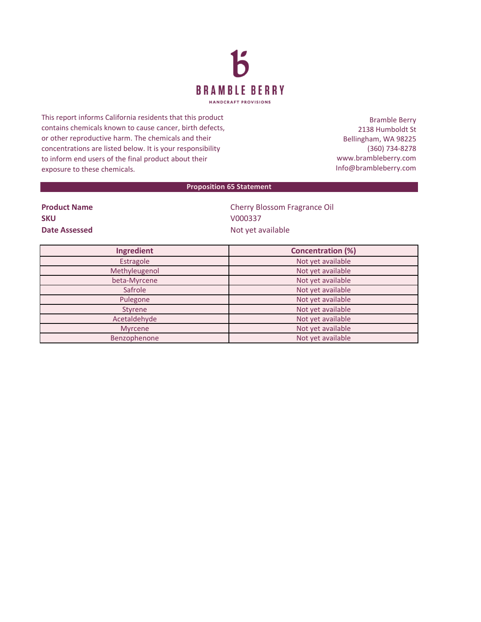

This report informs California residents that this product contains chemicals known to cause cancer, birth defects, or other reproductive harm. The chemicals and their concentrations are listed below. It is your responsibility to inform end users of the final product about their exposure to these chemicals.

Bramble Berry 2138 Humboldt St Bellingham, WA 98225 (360) 734-8278 www.brambleberry.com Info@brambleberry.com

## **Proposition 65 Statement**

| <b>Product Name</b> |  |
|---------------------|--|
| <b>SKU</b>          |  |
| Date Assessed       |  |

**Cherry Blossom Fragrance Oil SKU** V000337 **Date Assessed** Not yet available

| Ingredient     | <b>Concentration (%)</b> |
|----------------|--------------------------|
| Estragole      | Not yet available        |
| Methyleugenol  | Not yet available        |
| beta-Myrcene   | Not yet available        |
| Safrole        | Not yet available        |
| Pulegone       | Not yet available        |
| Styrene        | Not yet available        |
| Acetaldehyde   | Not yet available        |
| <b>Myrcene</b> | Not yet available        |
| Benzophenone   | Not yet available        |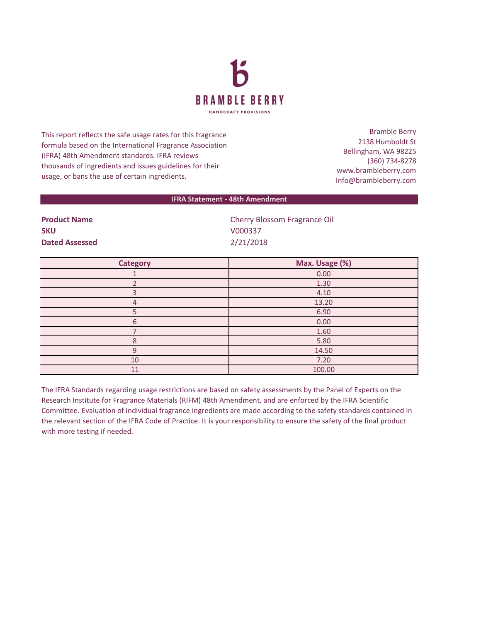

This report reflects the safe usage rates for this fragrance formula based on the International Fragrance Association (IFRA) 48th Amendment standards. IFRA reviews thousands of ingredients and issues guidelines for their usage, or bans the use of certain ingredients.

Bramble Berry 2138 Humboldt St Bellingham, WA 98225 (360) 734-8278 www.brambleberry.com Info@brambleberry.com

## **IFRA Statement - 48th Amendment**

**SKU** V000337 **Dated Assessed** 2/21/2018

**Product Name** Cherry Blossom Fragrance Oil

| <b>Category</b> | Max. Usage (%) |
|-----------------|----------------|
|                 | 0.00           |
|                 | 1.30           |
|                 | 4.10           |
| 4               | 13.20          |
| 5               | 6.90           |
| 6               | 0.00           |
|                 | 1.60           |
| Ջ               | 5.80           |
| $\Omega$        | 14.50          |
| 10              | 7.20           |
| 11              | 100.00         |

The IFRA Standards regarding usage restrictions are based on safety assessments by the Panel of Experts on the Research Institute for Fragrance Materials (RIFM) 48th Amendment, and are enforced by the IFRA Scientific Committee. Evaluation of individual fragrance ingredients are made according to the safety standards contained in the relevant section of the IFRA Code of Practice. It is your responsibility to ensure the safety of the final product with more testing if needed.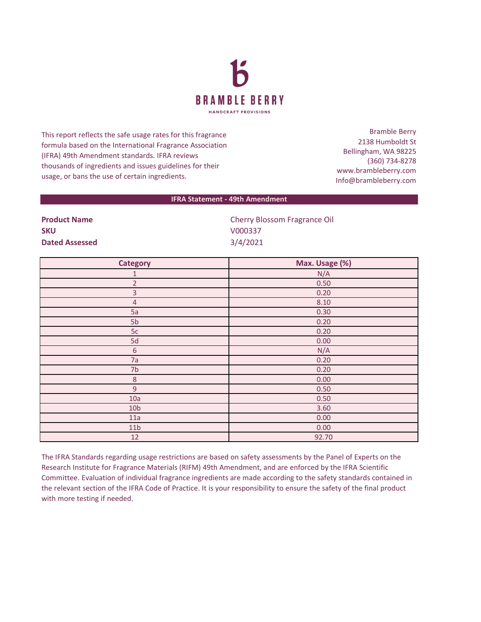

This report reflects the safe usage rates for this fragrance formula based on the International Fragrance Association (IFRA) 49th Amendment standards. IFRA reviews thousands of ingredients and issues guidelines for their usage, or bans the use of certain ingredients.

Bramble Berry 2138 Humboldt St Bellingham, WA 98225 (360) 734-8278 www.brambleberry.com Info@brambleberry.com

## **IFRA Statement - 49th Amendment**

**SKU** V000337 **Dated Assessed** 3/4/2021

**Product Name** Cherry Blossom Fragrance Oil

| <b>Category</b>         | Max. Usage (%) |
|-------------------------|----------------|
| $\mathbf{1}$            | N/A            |
| $\overline{2}$          | 0.50           |
| $\overline{\mathbf{3}}$ | 0.20           |
| $\overline{4}$          | 8.10           |
| 5a                      | 0.30           |
| 5 <sub>b</sub>          | 0.20           |
| 5c                      | 0.20           |
| 5d                      | 0.00           |
| $\sqrt{6}$              | N/A            |
| 7a                      | 0.20           |
| 7 <sub>b</sub>          | 0.20           |
| $\bf 8$                 | 0.00           |
| $\overline{9}$          | 0.50           |
| 10a                     | 0.50           |
| 10 <sub>b</sub>         | 3.60           |
| 11a                     | 0.00           |
| 11 <sub>b</sub>         | 0.00           |
| 12                      | 92.70          |

The IFRA Standards regarding usage restrictions are based on safety assessments by the Panel of Experts on the Research Institute for Fragrance Materials (RIFM) 49th Amendment, and are enforced by the IFRA Scientific Committee. Evaluation of individual fragrance ingredients are made according to the safety standards contained in the relevant section of the IFRA Code of Practice. It is your responsibility to ensure the safety of the final product with more testing if needed.